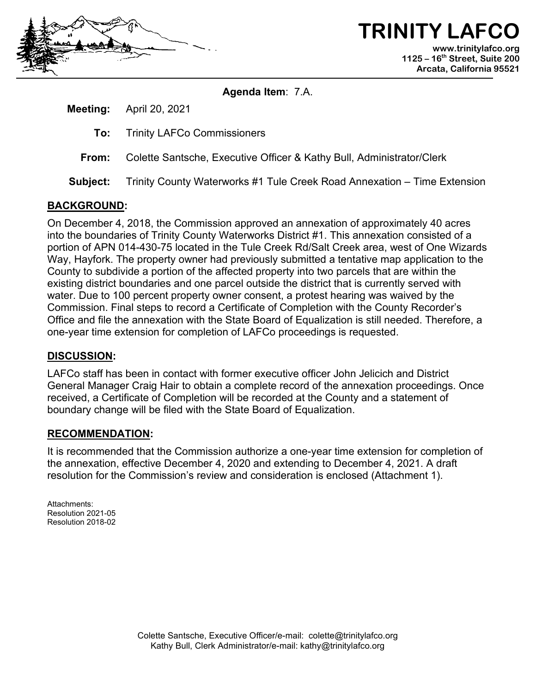

**TRINITY LAFC www.trinitylafco.org 1125 – 16th Street, Suite 200 Arcata, California 95521**

**Agenda Item**: 7.A.

**Meeting:** April 20, 2021

- **To:** Trinity LAFCo Commissioners
- **From:** Colette Santsche, Executive Officer & Kathy Bull, Administrator/Clerk
- **Subject:** Trinity County Waterworks #1 Tule Creek Road Annexation Time Extension

# **BACKGROUND:**

On December 4, 2018, the Commission approved an annexation of approximately 40 acres into the boundaries of Trinity County Waterworks District #1. This annexation consisted of a portion of APN 014-430-75 located in the Tule Creek Rd/Salt Creek area, west of One Wizards Way, Hayfork. The property owner had previously submitted a tentative map application to the County to subdivide a portion of the affected property into two parcels that are within the existing district boundaries and one parcel outside the district that is currently served with water. Due to 100 percent property owner consent, a protest hearing was waived by the Commission. Final steps to record a Certificate of Completion with the County Recorder's Office and file the annexation with the State Board of Equalization is still needed. Therefore, a one-year time extension for completion of LAFCo proceedings is requested.

# **DISCUSSION:**

LAFCo staff has been in contact with former executive officer John Jelicich and District General Manager Craig Hair to obtain a complete record of the annexation proceedings. Once received, a Certificate of Completion will be recorded at the County and a statement of boundary change will be filed with the State Board of Equalization.

#### **RECOMMENDATION:**

It is recommended that the Commission authorize a one-year time extension for completion of the annexation, effective December 4, 2020 and extending to December 4, 2021. A draft resolution for the Commission's review and consideration is enclosed (Attachment 1).

Attachments: Resolution 2021-05 Resolution 2018-02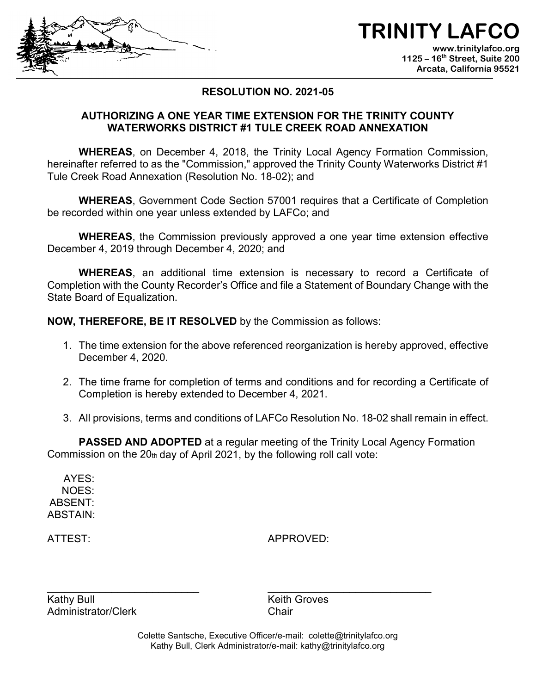



# **RESOLUTION NO. 2021-05**

### **AUTHORIZING A ONE YEAR TIME EXTENSION FOR THE TRINITY COUNTY WATERWORKS DISTRICT #1 TULE CREEK ROAD ANNEXATION**

**WHEREAS**, on December 4, 2018, the Trinity Local Agency Formation Commission, hereinafter referred to as the "Commission," approved the Trinity County Waterworks District #1 Tule Creek Road Annexation (Resolution No. 18-02); and

**WHEREAS**, Government Code Section 57001 requires that a Certificate of Completion be recorded within one year unless extended by LAFCo; and

**WHEREAS**, the Commission previously approved a one year time extension effective December 4, 2019 through December 4, 2020; and

**WHEREAS**, an additional time extension is necessary to record a Certificate of Completion with the County Recorder's Office and file a Statement of Boundary Change with the State Board of Equalization.

**NOW, THEREFORE, BE IT RESOLVED** by the Commission as follows:

- 1. The time extension for the above referenced reorganization is hereby approved, effective December 4, 2020.
- 2. The time frame for completion of terms and conditions and for recording a Certificate of Completion is hereby extended to December 4, 2021.
- 3. All provisions, terms and conditions of LAFCo Resolution No. 18-02 shall remain in effect.

**PASSED AND ADOPTED** at a regular meeting of the Trinity Local Agency Formation Commission on the  $20<sub>th</sub>$  day of April 2021, by the following roll call vote:

AYES: NOES: ABSENT: ABSTAIN:

ATTEST: APPROVED:

\_\_\_\_\_\_\_\_\_\_\_\_\_\_\_\_\_\_\_\_\_\_\_\_\_\_ \_\_\_\_\_\_\_\_\_\_\_\_\_\_\_\_\_\_\_\_\_\_\_\_\_\_\_\_ Kathy Bull **Kathy Bull** Keith Groves Administrator/Clerk Chair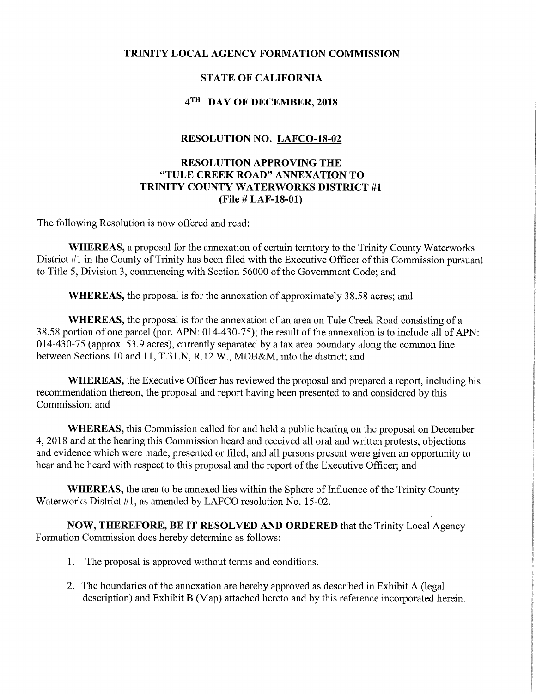#### TRINITY LOCAL AGENCY FORMATION COMMISSION

# STATE OF CALIFORNIA

### 4<sup>TH</sup> DAY OF DECEMBER, 2018

#### RESOLUTION NO. LAFCO-18-02

#### RESOLUTION APPROVING THE "TULE CREEK ROAD" ANNEXATION TO TRINITY COUNTY WATERWORKS DISTRICT #1 (File # LAF-18-01)

The following Resolution is now offered and read:

WHEREAS, a proposal for the annexation of certain territory to the Trinity County Waterworks District #1 in the County of Trinity has been filed with the Executive Officer of this Commission pursuant to Title 5, Division 3, commencing with Section 56000 of the Government Code; and

WHEREAS, the proposal is for the annexation of approximately 38.58 acres; and

WHEREAS, the proposal is for the annexation of an area on Tule Creek Road consisting of a 38.58 portion of one parcel (por. APN: 014-430-75); the result of the annexation is to include all of APN: 014-430-75 (approx. 53.9 acres), currently separated by a tax area boundary along the common line between Sections 10 and 11, T.31.N, R.12 W., MDB&M, into the district; and

WHEREAS, the Executive Officer has reviewed the proposal and prepared a report, including his recommendation thereon, the proposal and report having been presented to and considered by this Commission; and

WHEREAS, this Commission called for and held a public hearing on the proposal on December 4, 2018 and at the hearing this Commission heard and received all oral and written protests, objections and evidence which were made, presented or filed, and all persons present were given an opportunity to hear and be heard with respect to this proposal and the report of the Executive Officer; and

WHEREAS, the area to be annexed lies within the Sphere of Influence of the Trinity County Waterworks District #1, as amended by LAFCO resolution No. 15-02.

NOW, THEREFORE, BE IT RESOLVED AND ORDERED that the Trinity Local Agency Formation Commission does hereby determine as follows:

- 1. The proposal is approved without terms and conditions.
- 2. The boundaries of the annexation are hereby approved as described in Exhibit A (legal description) and Exhibit B (Map) attached hereto and by this reference incorporated herein.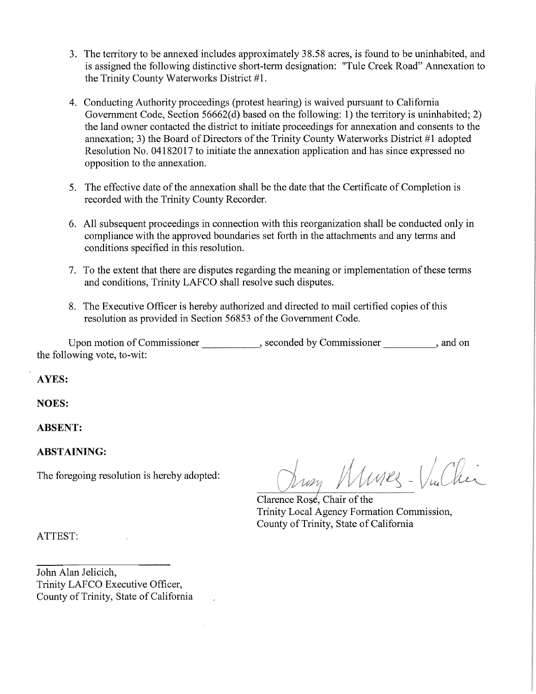- 3. The territory to be annexed includes approximately 38.58 acres, is found to be uninhabited, and is assigned the following distinctive short-term designation: "Tule Creek Road" Annexation to the Trinity County Waterworks District #1.
- 4. Conducting Authority proceedings (protest hearing) is waived pursuant to California Government Code, Section 56662(d) based on the following: 1) the territory is uninhabited; 2) the land owner contacted the district to initiate proceedings for annexation and consents to the annexation; 3) the Board of Directors of the Trinity County Waterworks District #1 adopted Resolution No. 04182017 to initiate the annexation application and has since expressed no opposition to the annexation.
- 5. The effective date of the annexation shall be the date that the Certificate of Completion is recorded with the Trinity County Recorder.
- 6. All subsequent proceedings in connection with this reorganization shall be conducted only in compliance with the approved boundaries set forth in the attachments and any terms and conditions specified in this resolution.
- 7. To the extent that there are disputes regarding the meaning or implementation of these terms and conditions, Trinity LAFCO shall resolve such disputes.
- 8. The Executive Officer is hereby authorized and directed to mail certified copies of this resolution as provided in Section 56853 of the Government Code.

Upon motion of Commissioner extending the seconded by Commissioner and on the following vote, to-wit:

AYES:

NOES:

ABSENT:

# ABSTAINING:

,/ The foregoing resolution is hereby adopted:  $\bigcup_{\mathcal{U}\neq\mathcal{U}}\bigcup_{\mathcal{U}}\bigcup_{\mathcal{U}}\bigcup_{\mathcal{U}}\bigcup_{\mathcal{U}}\bigcup_{\mathcal{U}}\bigcup_{\mathcal{U}}\bigcup_{\mathcal{U}}\bigcup_{\mathcal{U}}\bigcup_{\mathcal{U}}\bigcup_{\mathcal{U}}\bigcup_{\mathcal{U}}\bigcup_{\mathcal{U}}\bigcup_{\mathcal{U}}\bigcup_{\mathcal{U}}\bigcup_{\mathcal{U}}\bigcup_{\mathcal{$ 

Clarence Rose, Chair of the Trinity Local Agency Formation Commission, County of Trinity, State of California

ATTEST:

John Alan Jelicich, Trinity LAFCO Executive Officer, County of Trinity, State of California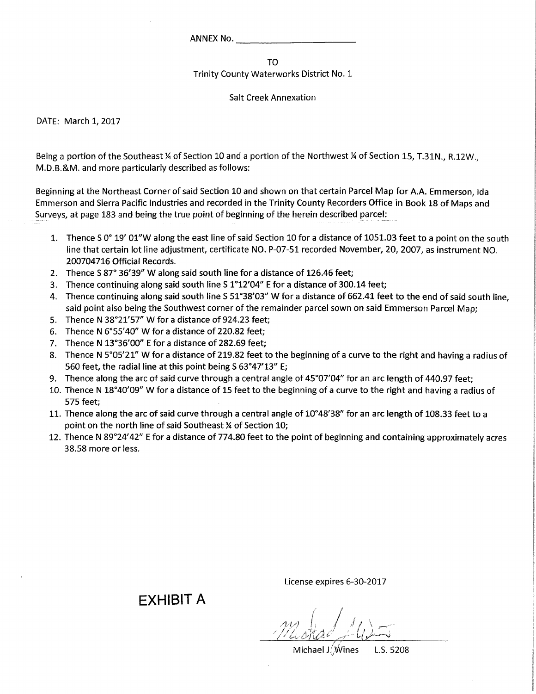ANNEX No.

TO

Trinity County Waterworks District No. 1

Salt Creek Annexation

DATE: March 1,2017

Being a portion of the Southeast ¼ of Section 10 and a portion of the Northwest ¼ of Section 15, T.31N., R.12W., M.D.B.&M. and more particularly described as follows:

Beginning at the Northeast Corner of said Section 10 and shown on that certain Parcel Map for A.A. Emmerson, Ida Emmerson and Sierra Pacific Industries and recorded in the Trinity County Recorders Office in Book 18 of Maps and Surveys, at page 183 and being the true point of beginning of the herein described parcel:

- 1. Thence S 0° 19' 01"W along the east line of said Section 10 for a distance of 1051.03 feet to a point on the south line that certain lot line adjustment, certificate NO. P-07-51 recorded November, 20, 2007, as instrument NO. 200704716 Official Records.
- 2. Thence S 87° 36'39" W along said south line for a distance of 126.46 feet;
- 3. Thence continuing along said south line S 1°12'04" E for a distance of 300.14 feet;
- 4. Thence continuing along said south line S 51°38'03" W for a distance of 662.41 feet to the end of said south line, said point also being the Southwest corner of the remainder parcel sown on said Emmerson Parcel Map;
- 5. Thence N 38°21'57" W for a distance of 924.23 feet;
- 6. Thence N 6°55'40" W for a distance of 220.82 feet;
- 7. Thence N 13°36'00" E for a distance of 282.69 feet;
- 8. Thence N 5°05'21" W for a distance of 219.82 feet to the beginning of a curve to the right and having a radius of 560 feet, the radial line at this point being S 63°47'13" E;
- 9. Thence along the arc of said curve through a central angle of 45°07'04" for an arc length of 440.97 feet;
- 10. Thence N 18°40'09" W for a distance of 15 feet to the beginning of a curve to the right and having a radius of 575 feet;
- 11. Thence along the arc of said curve through a central angle of 10°48'38" for an arc length of 108.33 feet to a point on the north line of said Southeast % of Section 10;
- 12. Thence N 89°24'42" E for a distance of 774.80 feet to the point of beginning and containing approximately acres 38.58 more or less.

EXHIBIT A

License expires 6-30-2017

 $m\perp$  /  $\perp$  $-$  Meshad  $+$  4)

Michael J,'Wines L.S. 5208